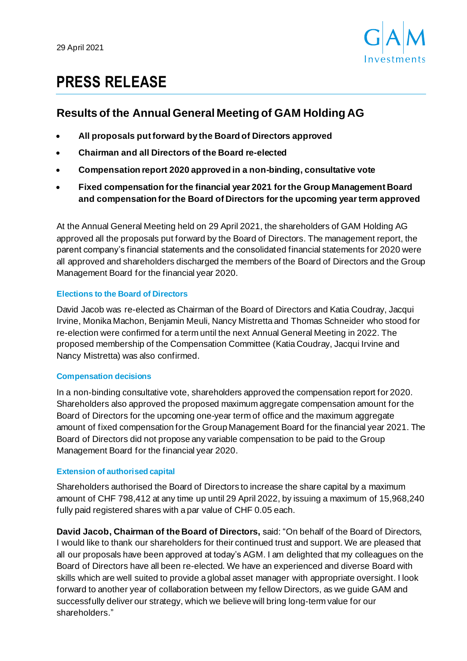

# **PRESS RELEASE**

# **Results of the Annual General Meeting of GAM Holding AG**

- **All proposals put forward by the Board of Directors approved**
- **Chairman and all Directors of the Board re-elected**
- **Compensation report 2020 approved in a non-binding, consultative vote**
- **Fixed compensation for the financial year 2021 for the Group Management Board and compensation for the Board of Directors for the upcoming year term approved**

At the Annual General Meeting held on 29 April 2021, the shareholders of GAM Holding AG approved all the proposals put forward by the Board of Directors. The management report, the parent company's financial statements and the consolidated financial statements for 2020 were all approved and shareholders discharged the members of the Board of Directors and the Group Management Board for the financial year 2020.

# **Elections to the Board of Directors**

David Jacob was re-elected as Chairman of the Board of Directors and Katia Coudray, Jacqui Irvine, Monika Machon, Benjamin Meuli, Nancy Mistretta and Thomas Schneider who stood for re-election were confirmed for a term until the next Annual General Meeting in 2022. The proposed membership of the Compensation Committee (Katia Coudray, Jacqui Irvine and Nancy Mistretta) was also confirmed.

# **Compensation decisions**

In a non-binding consultative vote, shareholders approved the compensation report for 2020. Shareholders also approved the proposed maximum aggregate compensation amount for the Board of Directors for the upcoming one-year term of office and the maximum aggregate amount of fixed compensation for the Group Management Board for the financial year 2021. The Board of Directors did not propose any variable compensation to be paid to the Group Management Board for the financial year 2020.

# **Extension of authorised capital**

Shareholders authorised the Board of Directors to increase the share capital by a maximum amount of CHF 798,412 at any time up until 29 April 2022, by issuing a maximum of 15,968,240 fully paid registered shares with a par value of CHF 0.05 each.

**David Jacob, Chairman of the Board of Directors,** said: "On behalf of the Board of Directors, I would like to thank our shareholders for their continued trust and support. We are pleased that all our proposals have been approved at today's AGM. I am delighted that my colleagues on the Board of Directors have all been re-elected. We have an experienced and diverse Board with skills which are well suited to provide a global asset manager with appropriate oversight. I look forward to another year of collaboration between my fellow Directors, as we guide GAM and successfully deliver our strategy, which we believe will bring long-term value for our shareholders."